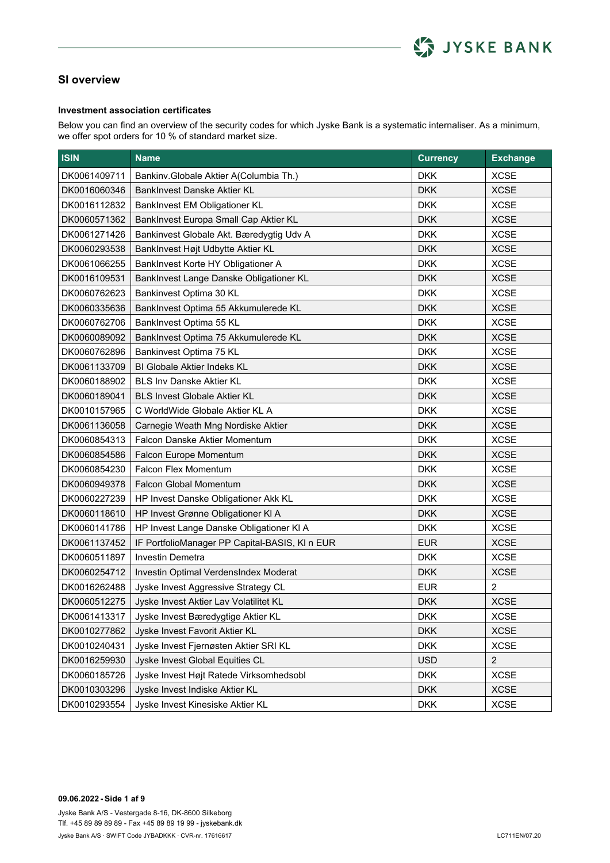

#### **Investment association certificates**

Below you can find an overview of the security codes for which Jyske Bank is a systematic internaliser. As a minimum, we offer spot orders for 10 % of standard market size.

| <b>ISIN</b>  | <b>Name</b>                                    | <b>Currency</b> | <b>Exchange</b> |
|--------------|------------------------------------------------|-----------------|-----------------|
| DK0061409711 | Bankinv.Globale Aktier A(Columbia Th.)         | <b>DKK</b>      | <b>XCSE</b>     |
| DK0016060346 | BankInvest Danske Aktier KL                    | <b>DKK</b>      | <b>XCSE</b>     |
| DK0016112832 | BankInvest EM Obligationer KL                  | <b>DKK</b>      | <b>XCSE</b>     |
| DK0060571362 | BankInvest Europa Small Cap Aktier KL          | <b>DKK</b>      | <b>XCSE</b>     |
| DK0061271426 | Bankinvest Globale Akt. Bæredygtig Udv A       | <b>DKK</b>      | <b>XCSE</b>     |
| DK0060293538 | BankInvest Højt Udbytte Aktier KL              | <b>DKK</b>      | <b>XCSE</b>     |
| DK0061066255 | BankInvest Korte HY Obligationer A             | <b>DKK</b>      | <b>XCSE</b>     |
| DK0016109531 | BankInvest Lange Danske Obligationer KL        | <b>DKK</b>      | <b>XCSE</b>     |
| DK0060762623 | Bankinvest Optima 30 KL                        | <b>DKK</b>      | <b>XCSE</b>     |
| DK0060335636 | BankInvest Optima 55 Akkumulerede KL           | <b>DKK</b>      | <b>XCSE</b>     |
| DK0060762706 | BankInvest Optima 55 KL                        | <b>DKK</b>      | <b>XCSE</b>     |
| DK0060089092 | BankInvest Optima 75 Akkumulerede KL           | <b>DKK</b>      | <b>XCSE</b>     |
| DK0060762896 | Bankinvest Optima 75 KL                        | <b>DKK</b>      | <b>XCSE</b>     |
| DK0061133709 | BI Globale Aktier Indeks KL                    | <b>DKK</b>      | <b>XCSE</b>     |
| DK0060188902 | <b>BLS Inv Danske Aktier KL</b>                | <b>DKK</b>      | <b>XCSE</b>     |
| DK0060189041 | <b>BLS Invest Globale Aktier KL</b>            | <b>DKK</b>      | <b>XCSE</b>     |
| DK0010157965 | C WorldWide Globale Aktier KL A                | <b>DKK</b>      | <b>XCSE</b>     |
| DK0061136058 | Carnegie Weath Mng Nordiske Aktier             | <b>DKK</b>      | <b>XCSE</b>     |
| DK0060854313 | Falcon Danske Aktier Momentum                  | <b>DKK</b>      | <b>XCSE</b>     |
| DK0060854586 | Falcon Europe Momentum                         | <b>DKK</b>      | <b>XCSE</b>     |
| DK0060854230 | Falcon Flex Momentum                           | <b>DKK</b>      | <b>XCSE</b>     |
| DK0060949378 | Falcon Global Momentum                         | <b>DKK</b>      | <b>XCSE</b>     |
| DK0060227239 | HP Invest Danske Obligationer Akk KL           | <b>DKK</b>      | <b>XCSE</b>     |
| DK0060118610 | HP Invest Grønne Obligationer KI A             | <b>DKK</b>      | <b>XCSE</b>     |
| DK0060141786 | HP Invest Lange Danske Obligationer KI A       | <b>DKK</b>      | <b>XCSE</b>     |
| DK0061137452 | IF PortfolioManager PP Capital-BASIS, KI n EUR | <b>EUR</b>      | <b>XCSE</b>     |
| DK0060511897 | Investin Demetra                               | <b>DKK</b>      | <b>XCSE</b>     |
| DK0060254712 | Investin Optimal VerdensIndex Moderat          | <b>DKK</b>      | <b>XCSE</b>     |
| DK0016262488 | Jyske Invest Aggressive Strategy CL            | <b>EUR</b>      | $\overline{2}$  |
| DK0060512275 | Jyske Invest Aktier Lav Volatilitet KL         | <b>DKK</b>      | <b>XCSE</b>     |
| DK0061413317 | Jyske Invest Bæredygtige Aktier KL             | <b>DKK</b>      | <b>XCSE</b>     |
| DK0010277862 | Jyske Invest Favorit Aktier KL                 | <b>DKK</b>      | <b>XCSE</b>     |
| DK0010240431 | Jyske Invest Fjernøsten Aktier SRI KL          | <b>DKK</b>      | <b>XCSE</b>     |
| DK0016259930 | Jyske Invest Global Equities CL                | <b>USD</b>      | $\overline{2}$  |
| DK0060185726 | Jyske Invest Højt Ratede Virksomhedsobl        | <b>DKK</b>      | <b>XCSE</b>     |
| DK0010303296 | Jyske Invest Indiske Aktier KL                 | <b>DKK</b>      | <b>XCSE</b>     |
| DK0010293554 | Jyske Invest Kinesiske Aktier KL               | <b>DKK</b>      | <b>XCSE</b>     |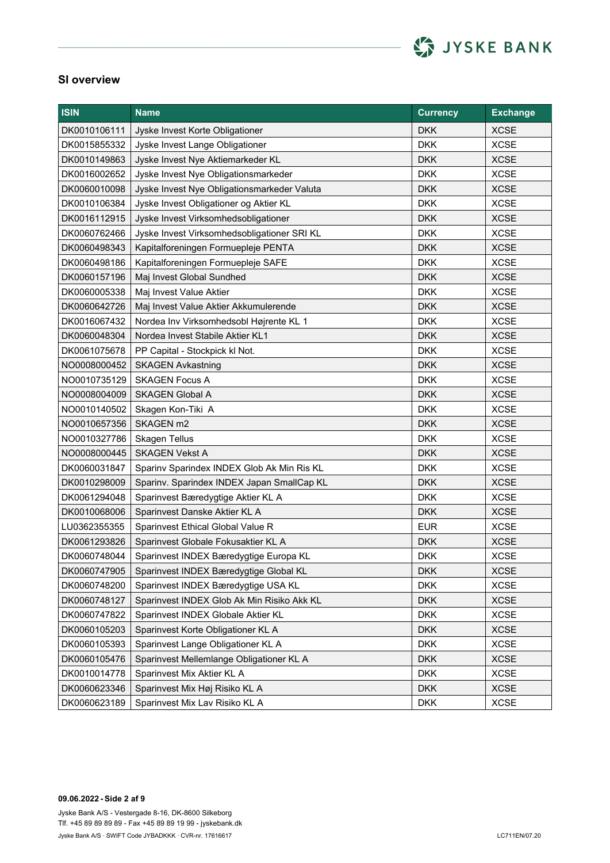

| <b>ISIN</b>  | <b>Name</b>                                 | <b>Currency</b> | <b>Exchange</b> |
|--------------|---------------------------------------------|-----------------|-----------------|
| DK0010106111 | Jyske Invest Korte Obligationer             | <b>DKK</b>      | <b>XCSE</b>     |
| DK0015855332 | Jyske Invest Lange Obligationer             | <b>DKK</b>      | <b>XCSE</b>     |
| DK0010149863 | Jyske Invest Nye Aktiemarkeder KL           | <b>DKK</b>      | <b>XCSE</b>     |
| DK0016002652 | Jyske Invest Nye Obligationsmarkeder        | <b>DKK</b>      | <b>XCSE</b>     |
| DK0060010098 | Jyske Invest Nye Obligationsmarkeder Valuta | <b>DKK</b>      | <b>XCSE</b>     |
| DK0010106384 | Jyske Invest Obligationer og Aktier KL      | <b>DKK</b>      | <b>XCSE</b>     |
| DK0016112915 | Jyske Invest Virksomhedsobligationer        | <b>DKK</b>      | <b>XCSE</b>     |
| DK0060762466 | Jyske Invest Virksomhedsobligationer SRI KL | <b>DKK</b>      | <b>XCSE</b>     |
| DK0060498343 | Kapitalforeningen Formuepleje PENTA         | <b>DKK</b>      | <b>XCSE</b>     |
| DK0060498186 | Kapitalforeningen Formuepleje SAFE          | <b>DKK</b>      | <b>XCSE</b>     |
| DK0060157196 | Maj Invest Global Sundhed                   | <b>DKK</b>      | <b>XCSE</b>     |
| DK0060005338 | Maj Invest Value Aktier                     | <b>DKK</b>      | <b>XCSE</b>     |
| DK0060642726 | Maj Invest Value Aktier Akkumulerende       | <b>DKK</b>      | <b>XCSE</b>     |
| DK0016067432 | Nordea Inv Virksomhedsobl Højrente KL 1     | <b>DKK</b>      | <b>XCSE</b>     |
| DK0060048304 | Nordea Invest Stabile Aktier KL1            | <b>DKK</b>      | <b>XCSE</b>     |
| DK0061075678 | PP Capital - Stockpick kl Not.              | <b>DKK</b>      | <b>XCSE</b>     |
| NO0008000452 | <b>SKAGEN Avkastning</b>                    | <b>DKK</b>      | <b>XCSE</b>     |
| NO0010735129 | <b>SKAGEN Focus A</b>                       | <b>DKK</b>      | <b>XCSE</b>     |
| NO0008004009 | <b>SKAGEN Global A</b>                      | <b>DKK</b>      | <b>XCSE</b>     |
| NO0010140502 | Skagen Kon-Tiki A                           | <b>DKK</b>      | <b>XCSE</b>     |
| NO0010657356 | SKAGEN m2                                   | <b>DKK</b>      | <b>XCSE</b>     |
| NO0010327786 | <b>Skagen Tellus</b>                        | <b>DKK</b>      | <b>XCSE</b>     |
| NO0008000445 | <b>SKAGEN Vekst A</b>                       | <b>DKK</b>      | <b>XCSE</b>     |
| DK0060031847 | Sparinv Sparindex INDEX Glob Ak Min Ris KL  | <b>DKK</b>      | <b>XCSE</b>     |
| DK0010298009 | Sparinv. Sparindex INDEX Japan SmallCap KL  | <b>DKK</b>      | <b>XCSE</b>     |
| DK0061294048 | Sparinvest Bæredygtige Aktier KL A          | <b>DKK</b>      | <b>XCSE</b>     |
| DK0010068006 | Sparinvest Danske Aktier KL A               | <b>DKK</b>      | <b>XCSE</b>     |
| LU0362355355 | Sparinvest Ethical Global Value R           | <b>EUR</b>      | <b>XCSE</b>     |
| DK0061293826 | Sparinvest Globale Fokusaktier KL A         | <b>DKK</b>      | <b>XCSE</b>     |
| DK0060748044 | Sparinvest INDEX Bæredygtige Europa KL      | <b>DKK</b>      | <b>XCSE</b>     |
| DK0060747905 | Sparinvest INDEX Bæredygtige Global KL      | <b>DKK</b>      | <b>XCSE</b>     |
| DK0060748200 | Sparinvest INDEX Bæredygtige USA KL         | <b>DKK</b>      | <b>XCSE</b>     |
| DK0060748127 | Sparinvest INDEX Glob Ak Min Risiko Akk KL  | <b>DKK</b>      | <b>XCSE</b>     |
| DK0060747822 | Sparinvest INDEX Globale Aktier KL          | <b>DKK</b>      | <b>XCSE</b>     |
| DK0060105203 | Sparinvest Korte Obligationer KL A          | <b>DKK</b>      | <b>XCSE</b>     |
| DK0060105393 | Sparinvest Lange Obligationer KL A          | <b>DKK</b>      | <b>XCSE</b>     |
| DK0060105476 | Sparinvest Mellemlange Obligationer KL A    | <b>DKK</b>      | <b>XCSE</b>     |
| DK0010014778 | Sparinvest Mix Aktier KL A                  | <b>DKK</b>      | <b>XCSE</b>     |
| DK0060623346 | Sparinvest Mix Høj Risiko KL A              | <b>DKK</b>      | <b>XCSE</b>     |
| DK0060623189 | Sparinvest Mix Lav Risiko KL A              | <b>DKK</b>      | <b>XCSE</b>     |

**09.06.2022 - Side 2 af 9** Jyske Bank A/S - Vestergade 8-16, DK-8600 Silkeborg Jyske Bank A/S · SWIFT Code JYBADKKK · CVR-nr. 17616617 Tlf. +45 89 89 89 89 - Fax +45 89 89 19 99 - jyskebank.dk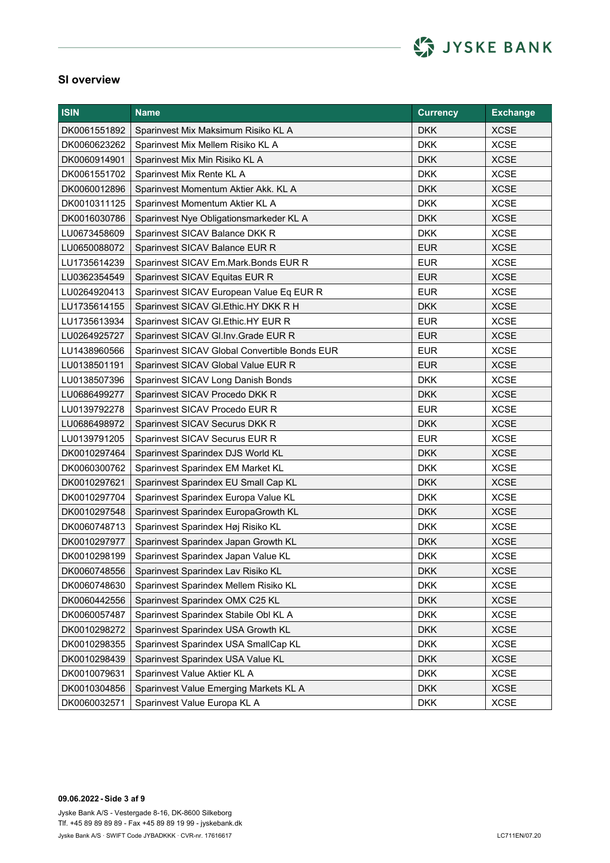

| <b>ISIN</b>  | <b>Name</b>                                   | <b>Currency</b> | <b>Exchange</b> |
|--------------|-----------------------------------------------|-----------------|-----------------|
| DK0061551892 | Sparinvest Mix Maksimum Risiko KL A           | <b>DKK</b>      | <b>XCSE</b>     |
| DK0060623262 | Sparinvest Mix Mellem Risiko KL A             | <b>DKK</b>      | <b>XCSE</b>     |
| DK0060914901 | Sparinvest Mix Min Risiko KL A                | <b>DKK</b>      | <b>XCSE</b>     |
| DK0061551702 | Sparinvest Mix Rente KL A                     | <b>DKK</b>      | <b>XCSE</b>     |
| DK0060012896 | Sparinvest Momentum Aktier Akk. KL A          | <b>DKK</b>      | <b>XCSE</b>     |
| DK0010311125 | Sparinvest Momentum Aktier KL A               | <b>DKK</b>      | <b>XCSE</b>     |
| DK0016030786 | Sparinvest Nye Obligationsmarkeder KL A       | <b>DKK</b>      | <b>XCSE</b>     |
| LU0673458609 | Sparinvest SICAV Balance DKK R                | <b>DKK</b>      | <b>XCSE</b>     |
| LU0650088072 | Sparinvest SICAV Balance EUR R                | <b>EUR</b>      | <b>XCSE</b>     |
| LU1735614239 | Sparinvest SICAV Em.Mark.Bonds EUR R          | <b>EUR</b>      | <b>XCSE</b>     |
| LU0362354549 | Sparinvest SICAV Equitas EUR R                | <b>EUR</b>      | <b>XCSE</b>     |
| LU0264920413 | Sparinvest SICAV European Value Eq EUR R      | <b>EUR</b>      | <b>XCSE</b>     |
| LU1735614155 | Sparinvest SICAV GI.Ethic.HY DKK R H          | <b>DKK</b>      | <b>XCSE</b>     |
| LU1735613934 | Sparinvest SICAV GI. Ethic. HY EUR R          | <b>EUR</b>      | <b>XCSE</b>     |
| LU0264925727 | Sparinvest SICAV GI. Inv. Grade EUR R         | <b>EUR</b>      | <b>XCSE</b>     |
| LU1438960566 | Sparinvest SICAV Global Convertible Bonds EUR | <b>EUR</b>      | <b>XCSE</b>     |
| LU0138501191 | Sparinvest SICAV Global Value EUR R           | <b>EUR</b>      | <b>XCSE</b>     |
| LU0138507396 | Sparinvest SICAV Long Danish Bonds            | <b>DKK</b>      | <b>XCSE</b>     |
| LU0686499277 | Sparinvest SICAV Procedo DKK R                | <b>DKK</b>      | <b>XCSE</b>     |
| LU0139792278 | Sparinvest SICAV Procedo EUR R                | <b>EUR</b>      | <b>XCSE</b>     |
| LU0686498972 | Sparinvest SICAV Securus DKK R                | <b>DKK</b>      | <b>XCSE</b>     |
| LU0139791205 | Sparinvest SICAV Securus EUR R                | <b>EUR</b>      | <b>XCSE</b>     |
| DK0010297464 | Sparinvest Sparindex DJS World KL             | <b>DKK</b>      | <b>XCSE</b>     |
| DK0060300762 | Sparinvest Sparindex EM Market KL             | <b>DKK</b>      | <b>XCSE</b>     |
| DK0010297621 | Sparinvest Sparindex EU Small Cap KL          | <b>DKK</b>      | <b>XCSE</b>     |
| DK0010297704 | Sparinvest Sparindex Europa Value KL          | <b>DKK</b>      | <b>XCSE</b>     |
| DK0010297548 | Sparinvest Sparindex EuropaGrowth KL          | <b>DKK</b>      | <b>XCSE</b>     |
| DK0060748713 | Sparinvest Sparindex Høj Risiko KL            | <b>DKK</b>      | <b>XCSE</b>     |
| DK0010297977 | Sparinvest Sparindex Japan Growth KL          | <b>DKK</b>      | <b>XCSE</b>     |
| DK0010298199 | Sparinvest Sparindex Japan Value KL           | <b>DKK</b>      | <b>XCSE</b>     |
| DK0060748556 | Sparinvest Sparindex Lav Risiko KL            | <b>DKK</b>      | <b>XCSE</b>     |
| DK0060748630 | Sparinvest Sparindex Mellem Risiko KL         | <b>DKK</b>      | <b>XCSE</b>     |
| DK0060442556 | Sparinvest Sparindex OMX C25 KL               | <b>DKK</b>      | <b>XCSE</b>     |
| DK0060057487 | Sparinvest Sparindex Stabile Obl KL A         | <b>DKK</b>      | <b>XCSE</b>     |
| DK0010298272 | Sparinvest Sparindex USA Growth KL            | <b>DKK</b>      | <b>XCSE</b>     |
| DK0010298355 | Sparinvest Sparindex USA SmallCap KL          | <b>DKK</b>      | <b>XCSE</b>     |
| DK0010298439 | Sparinvest Sparindex USA Value KL             | <b>DKK</b>      | <b>XCSE</b>     |
| DK0010079631 | Sparinvest Value Aktier KL A                  | <b>DKK</b>      | <b>XCSE</b>     |
| DK0010304856 | Sparinvest Value Emerging Markets KL A        | <b>DKK</b>      | <b>XCSE</b>     |
| DK0060032571 | Sparinvest Value Europa KL A                  | <b>DKK</b>      | <b>XCSE</b>     |

**09.06.2022 - Side 3 af 9** Jyske Bank A/S - Vestergade 8-16, DK-8600 Silkeborg Jyske Bank A/S · SWIFT Code JYBADKKK · CVR-nr. 17616617 Tlf. +45 89 89 89 89 - Fax +45 89 89 19 99 - jyskebank.dk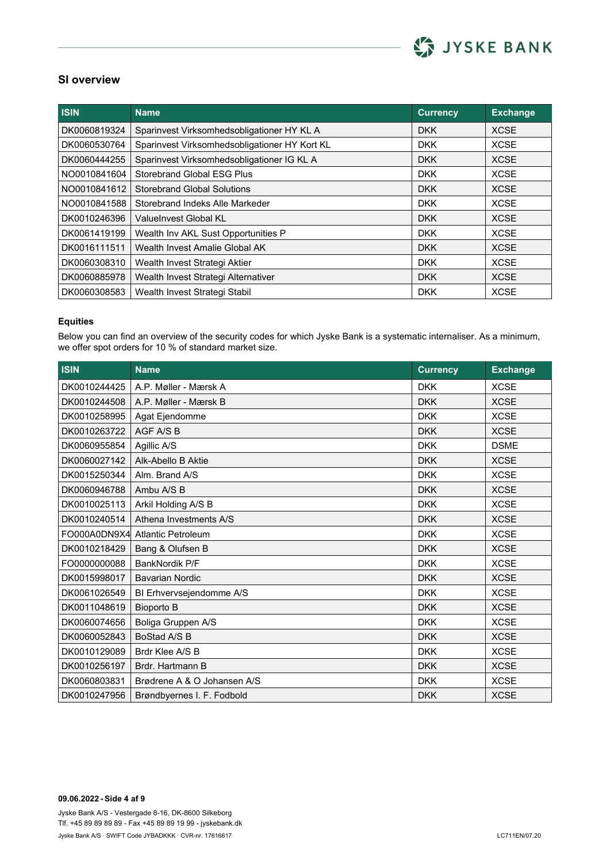

| <b>ISIN</b>  | Name                                          | <b>Currency</b> | <b>Exchange</b> |
|--------------|-----------------------------------------------|-----------------|-----------------|
| DK0060819324 | Sparinvest Virksomhedsobligationer HY KL A    | <b>DKK</b>      | <b>XCSE</b>     |
| DK0060530764 | Sparinvest Virksomhedsobligationer HY Kort KL | <b>DKK</b>      | <b>XCSE</b>     |
| DK0060444255 | Sparinvest Virksomhedsobligationer IG KL A    | <b>DKK</b>      | <b>XCSE</b>     |
| NO0010841604 | Storebrand Global ESG Plus                    | <b>DKK</b>      | <b>XCSE</b>     |
| NO0010841612 | <b>Storebrand Global Solutions</b>            | <b>DKK</b>      | <b>XCSE</b>     |
| NO0010841588 | Storebrand Indeks Alle Markeder               | <b>DKK</b>      | <b>XCSE</b>     |
| DK0010246396 | ValueInvest Global KL                         | <b>DKK</b>      | <b>XCSE</b>     |
| DK0061419199 | Wealth Inv AKL Sust Opportunities P           | <b>DKK</b>      | <b>XCSE</b>     |
| DK0016111511 | Wealth Invest Amalie Global AK                | <b>DKK</b>      | <b>XCSE</b>     |
| DK0060308310 | Wealth Invest Strategi Aktier                 | <b>DKK</b>      | <b>XCSE</b>     |
| DK0060885978 | Wealth Invest Strategi Alternativer           | <b>DKK</b>      | <b>XCSE</b>     |
| DK0060308583 | Wealth Invest Strategi Stabil                 | <b>DKK</b>      | <b>XCSE</b>     |

#### **Equities**

Below you can find an overview of the security codes for which Jyske Bank is a systematic internaliser. As a minimum, we offer spot orders for 10 % of standard market size.

| <b>ISIN</b>  | <b>Name</b>                 | <b>Currency</b> | <b>Exchange</b> |
|--------------|-----------------------------|-----------------|-----------------|
| DK0010244425 | A.P. Møller - Mærsk A       | <b>DKK</b>      | <b>XCSE</b>     |
| DK0010244508 | A.P. Møller - Mærsk B       | <b>DKK</b>      | <b>XCSE</b>     |
| DK0010258995 | Agat Ejendomme              | <b>DKK</b>      | <b>XCSE</b>     |
| DK0010263722 | AGF A/S B                   | <b>DKK</b>      | <b>XCSE</b>     |
| DK0060955854 | Agillic A/S                 | <b>DKK</b>      | <b>DSME</b>     |
| DK0060027142 | Alk-Abello B Aktie          | <b>DKK</b>      | <b>XCSE</b>     |
| DK0015250344 | Alm. Brand A/S              | <b>DKK</b>      | <b>XCSE</b>     |
| DK0060946788 | Ambu A/S B                  | <b>DKK</b>      | <b>XCSE</b>     |
| DK0010025113 | Arkil Holding A/S B         | <b>DKK</b>      | <b>XCSE</b>     |
| DK0010240514 | Athena Investments A/S      | <b>DKK</b>      | <b>XCSE</b>     |
| FO000A0DN9X4 | Atlantic Petroleum          | <b>DKK</b>      | <b>XCSE</b>     |
| DK0010218429 | Bang & Olufsen B            | <b>DKK</b>      | <b>XCSE</b>     |
| FO0000000088 | BankNordik P/F              | <b>DKK</b>      | <b>XCSE</b>     |
| DK0015998017 | <b>Bavarian Nordic</b>      | <b>DKK</b>      | <b>XCSE</b>     |
| DK0061026549 | BI Erhvervsejendomme A/S    | <b>DKK</b>      | <b>XCSE</b>     |
| DK0011048619 | <b>Bioporto B</b>           | <b>DKK</b>      | <b>XCSE</b>     |
| DK0060074656 | Boliga Gruppen A/S          | <b>DKK</b>      | <b>XCSE</b>     |
| DK0060052843 | BoStad A/S B                | <b>DKK</b>      | <b>XCSE</b>     |
| DK0010129089 | Brdr Klee A/S B             | <b>DKK</b>      | <b>XCSE</b>     |
| DK0010256197 | Brdr. Hartmann B            | <b>DKK</b>      | <b>XCSE</b>     |
| DK0060803831 | Brødrene A & O Johansen A/S | <b>DKK</b>      | <b>XCSE</b>     |
| DK0010247956 | Brøndbyernes I. F. Fodbold  | <b>DKK</b>      | <b>XCSE</b>     |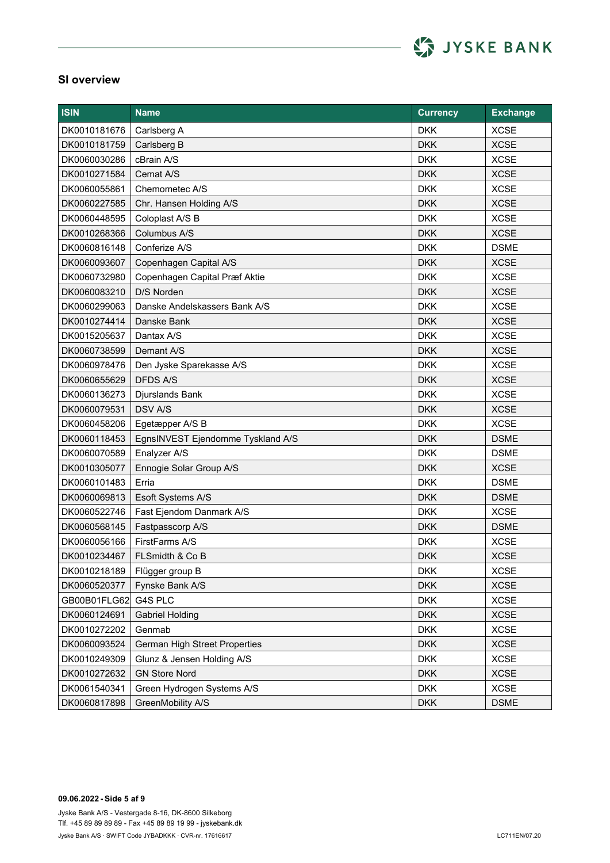

| <b>ISIN</b>  | <b>Name</b>                       | <b>Currency</b> | <b>Exchange</b> |
|--------------|-----------------------------------|-----------------|-----------------|
| DK0010181676 | Carlsberg A                       | <b>DKK</b>      | <b>XCSE</b>     |
| DK0010181759 | Carlsberg B                       | <b>DKK</b>      | <b>XCSE</b>     |
| DK0060030286 | cBrain A/S                        | <b>DKK</b>      | <b>XCSE</b>     |
| DK0010271584 | Cemat A/S                         | <b>DKK</b>      | <b>XCSE</b>     |
| DK0060055861 | Chemometec A/S                    | <b>DKK</b>      | <b>XCSE</b>     |
| DK0060227585 | Chr. Hansen Holding A/S           | <b>DKK</b>      | <b>XCSE</b>     |
| DK0060448595 | Coloplast A/S B                   | <b>DKK</b>      | <b>XCSE</b>     |
| DK0010268366 | Columbus A/S                      | <b>DKK</b>      | <b>XCSE</b>     |
| DK0060816148 | Conferize A/S                     | <b>DKK</b>      | <b>DSME</b>     |
| DK0060093607 | Copenhagen Capital A/S            | <b>DKK</b>      | <b>XCSE</b>     |
| DK0060732980 | Copenhagen Capital Præf Aktie     | <b>DKK</b>      | <b>XCSE</b>     |
| DK0060083210 | D/S Norden                        | <b>DKK</b>      | <b>XCSE</b>     |
| DK0060299063 | Danske Andelskassers Bank A/S     | <b>DKK</b>      | <b>XCSE</b>     |
| DK0010274414 | Danske Bank                       | <b>DKK</b>      | <b>XCSE</b>     |
| DK0015205637 | Dantax A/S                        | <b>DKK</b>      | <b>XCSE</b>     |
| DK0060738599 | Demant A/S                        | <b>DKK</b>      | <b>XCSE</b>     |
| DK0060978476 | Den Jyske Sparekasse A/S          | <b>DKK</b>      | <b>XCSE</b>     |
| DK0060655629 | <b>DFDS A/S</b>                   | <b>DKK</b>      | <b>XCSE</b>     |
| DK0060136273 | Djurslands Bank                   | <b>DKK</b>      | <b>XCSE</b>     |
| DK0060079531 | <b>DSV A/S</b>                    | <b>DKK</b>      | <b>XCSE</b>     |
| DK0060458206 | Egetæpper A/S B                   | <b>DKK</b>      | <b>XCSE</b>     |
| DK0060118453 | EgnsINVEST Ejendomme Tyskland A/S | <b>DKK</b>      | <b>DSME</b>     |
| DK0060070589 | Enalyzer A/S                      | <b>DKK</b>      | <b>DSME</b>     |
| DK0010305077 | Ennogie Solar Group A/S           | <b>DKK</b>      | <b>XCSE</b>     |
| DK0060101483 | Erria                             | <b>DKK</b>      | <b>DSME</b>     |
| DK0060069813 | Esoft Systems A/S                 | <b>DKK</b>      | <b>DSME</b>     |
| DK0060522746 | Fast Ejendom Danmark A/S          | <b>DKK</b>      | <b>XCSE</b>     |
| DK0060568145 | Fastpasscorp A/S                  | <b>DKK</b>      | <b>DSME</b>     |
| DK0060056166 | FirstFarms A/S                    | <b>DKK</b>      | <b>XCSE</b>     |
| DK0010234467 | FLSmidth & Co B                   | <b>DKK</b>      | <b>XCSE</b>     |
| DK0010218189 | Flügger group B                   | <b>DKK</b>      | <b>XCSE</b>     |
| DK0060520377 | Fynske Bank A/S                   | <b>DKK</b>      | <b>XCSE</b>     |
| GB00B01FLG62 | G4S PLC                           | <b>DKK</b>      | <b>XCSE</b>     |
| DK0060124691 | <b>Gabriel Holding</b>            | <b>DKK</b>      | <b>XCSE</b>     |
| DK0010272202 | Genmab                            | <b>DKK</b>      | <b>XCSE</b>     |
| DK0060093524 | German High Street Properties     | <b>DKK</b>      | <b>XCSE</b>     |
| DK0010249309 | Glunz & Jensen Holding A/S        | <b>DKK</b>      | <b>XCSE</b>     |
| DK0010272632 | <b>GN Store Nord</b>              | <b>DKK</b>      | <b>XCSE</b>     |
| DK0061540341 | Green Hydrogen Systems A/S        | <b>DKK</b>      | <b>XCSE</b>     |
| DK0060817898 | GreenMobility A/S                 | <b>DKK</b>      | <b>DSME</b>     |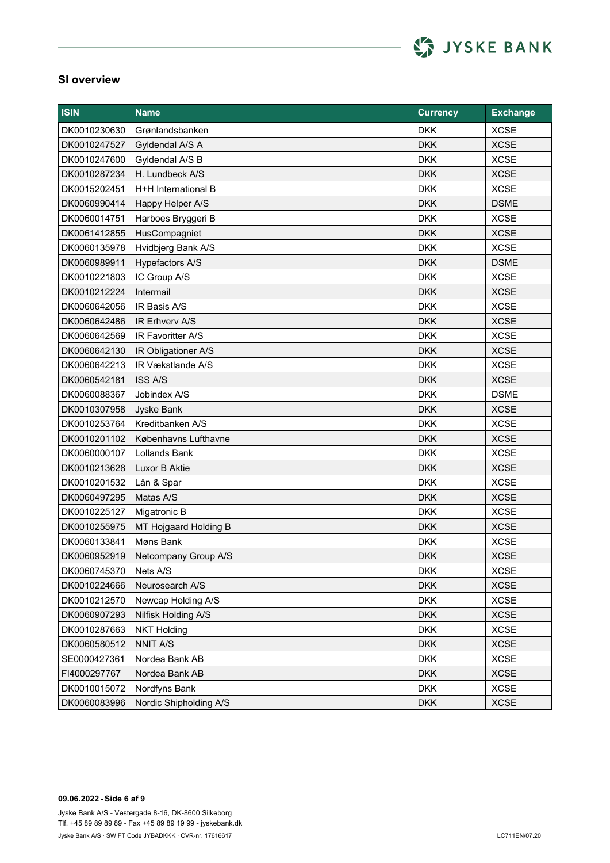

| <b>ISIN</b>  | <b>Name</b>            | <b>Currency</b> | <b>Exchange</b> |
|--------------|------------------------|-----------------|-----------------|
| DK0010230630 | Grønlandsbanken        | <b>DKK</b>      | <b>XCSE</b>     |
| DK0010247527 | Gyldendal A/S A        | <b>DKK</b>      | <b>XCSE</b>     |
| DK0010247600 | Gyldendal A/S B        | <b>DKK</b>      | <b>XCSE</b>     |
| DK0010287234 | H. Lundbeck A/S        | <b>DKK</b>      | <b>XCSE</b>     |
| DK0015202451 | H+H International B    | <b>DKK</b>      | <b>XCSE</b>     |
| DK0060990414 | Happy Helper A/S       | <b>DKK</b>      | <b>DSME</b>     |
| DK0060014751 | Harboes Bryggeri B     | <b>DKK</b>      | <b>XCSE</b>     |
| DK0061412855 | HusCompagniet          | <b>DKK</b>      | <b>XCSE</b>     |
| DK0060135978 | Hvidbjerg Bank A/S     | <b>DKK</b>      | <b>XCSE</b>     |
| DK0060989911 | Hypefactors A/S        | <b>DKK</b>      | <b>DSME</b>     |
| DK0010221803 | IC Group A/S           | <b>DKK</b>      | <b>XCSE</b>     |
| DK0010212224 | Intermail              | <b>DKK</b>      | <b>XCSE</b>     |
| DK0060642056 | IR Basis A/S           | <b>DKK</b>      | <b>XCSE</b>     |
| DK0060642486 | IR Erhverv A/S         | <b>DKK</b>      | <b>XCSE</b>     |
| DK0060642569 | IR Favoritter A/S      | <b>DKK</b>      | <b>XCSE</b>     |
| DK0060642130 | IR Obligationer A/S    | <b>DKK</b>      | <b>XCSE</b>     |
| DK0060642213 | IR Vækstlande A/S      | <b>DKK</b>      | <b>XCSE</b>     |
| DK0060542181 | <b>ISS A/S</b>         | <b>DKK</b>      | <b>XCSE</b>     |
| DK0060088367 | Jobindex A/S           | <b>DKK</b>      | <b>DSME</b>     |
| DK0010307958 | Jyske Bank             | <b>DKK</b>      | <b>XCSE</b>     |
| DK0010253764 | Kreditbanken A/S       | <b>DKK</b>      | <b>XCSE</b>     |
| DK0010201102 | Københavns Lufthavne   | <b>DKK</b>      | <b>XCSE</b>     |
| DK0060000107 | <b>Lollands Bank</b>   | <b>DKK</b>      | <b>XCSE</b>     |
| DK0010213628 | Luxor B Aktie          | <b>DKK</b>      | <b>XCSE</b>     |
| DK0010201532 | Lån & Spar             | <b>DKK</b>      | <b>XCSE</b>     |
| DK0060497295 | Matas A/S              | <b>DKK</b>      | <b>XCSE</b>     |
| DK0010225127 | Migatronic B           | <b>DKK</b>      | <b>XCSE</b>     |
| DK0010255975 | MT Hojgaard Holding B  | <b>DKK</b>      | <b>XCSE</b>     |
| DK0060133841 | Møns Bank              | <b>DKK</b>      | <b>XCSE</b>     |
| DK0060952919 | Netcompany Group A/S   | <b>DKK</b>      | <b>XCSE</b>     |
| DK0060745370 | Nets A/S               | <b>DKK</b>      | <b>XCSE</b>     |
| DK0010224666 | Neurosearch A/S        | <b>DKK</b>      | <b>XCSE</b>     |
| DK0010212570 | Newcap Holding A/S     | <b>DKK</b>      | <b>XCSE</b>     |
| DK0060907293 | Nilfisk Holding A/S    | <b>DKK</b>      | <b>XCSE</b>     |
| DK0010287663 | <b>NKT Holding</b>     | <b>DKK</b>      | <b>XCSE</b>     |
| DK0060580512 | <b>NNIT A/S</b>        | <b>DKK</b>      | <b>XCSE</b>     |
| SE0000427361 | Nordea Bank AB         | <b>DKK</b>      | <b>XCSE</b>     |
| FI4000297767 | Nordea Bank AB         | <b>DKK</b>      | <b>XCSE</b>     |
| DK0010015072 | Nordfyns Bank          | <b>DKK</b>      | <b>XCSE</b>     |
| DK0060083996 | Nordic Shipholding A/S | <b>DKK</b>      | <b>XCSE</b>     |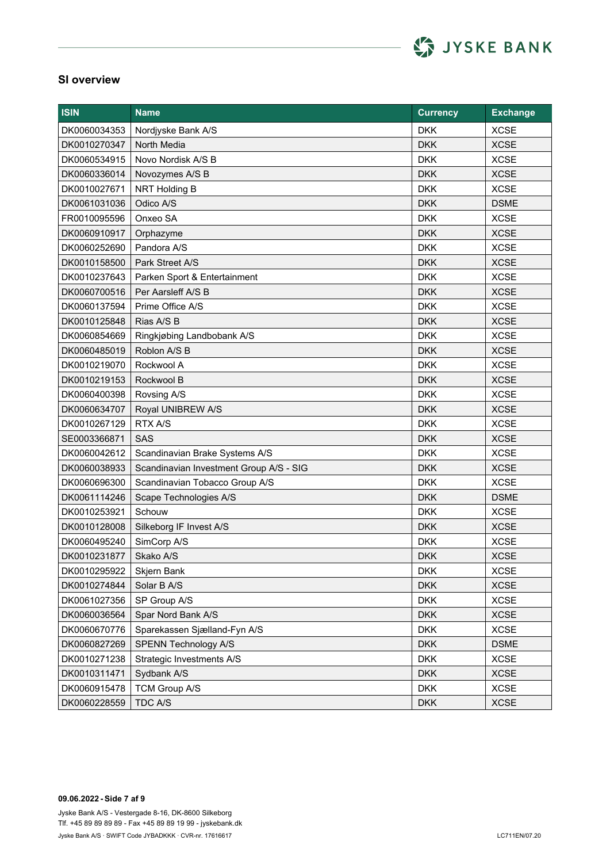

| <b>ISIN</b>  | <b>Name</b>                             | <b>Currency</b> | <b>Exchange</b> |
|--------------|-----------------------------------------|-----------------|-----------------|
| DK0060034353 | Nordjyske Bank A/S                      | <b>DKK</b>      | <b>XCSE</b>     |
| DK0010270347 | North Media                             | <b>DKK</b>      | <b>XCSE</b>     |
| DK0060534915 | Novo Nordisk A/S B                      | <b>DKK</b>      | <b>XCSE</b>     |
| DK0060336014 | Novozymes A/S B                         | <b>DKK</b>      | <b>XCSE</b>     |
| DK0010027671 | NRT Holding B                           | <b>DKK</b>      | <b>XCSE</b>     |
| DK0061031036 | Odico A/S                               | <b>DKK</b>      | <b>DSME</b>     |
| FR0010095596 | Onxeo SA                                | <b>DKK</b>      | <b>XCSE</b>     |
| DK0060910917 | Orphazyme                               | <b>DKK</b>      | <b>XCSE</b>     |
| DK0060252690 | Pandora A/S                             | <b>DKK</b>      | <b>XCSE</b>     |
| DK0010158500 | Park Street A/S                         | <b>DKK</b>      | <b>XCSE</b>     |
| DK0010237643 | Parken Sport & Entertainment            | <b>DKK</b>      | <b>XCSE</b>     |
| DK0060700516 | Per Aarsleff A/S B                      | <b>DKK</b>      | <b>XCSE</b>     |
| DK0060137594 | Prime Office A/S                        | <b>DKK</b>      | <b>XCSE</b>     |
| DK0010125848 | Rias A/S B                              | <b>DKK</b>      | <b>XCSE</b>     |
| DK0060854669 | Ringkjøbing Landbobank A/S              | <b>DKK</b>      | <b>XCSE</b>     |
| DK0060485019 | Roblon A/S B                            | <b>DKK</b>      | <b>XCSE</b>     |
| DK0010219070 | Rockwool A                              | <b>DKK</b>      | <b>XCSE</b>     |
| DK0010219153 | Rockwool B                              | <b>DKK</b>      | <b>XCSE</b>     |
| DK0060400398 | Rovsing A/S                             | <b>DKK</b>      | <b>XCSE</b>     |
| DK0060634707 | Royal UNIBREW A/S                       | <b>DKK</b>      | <b>XCSE</b>     |
| DK0010267129 | RTX A/S                                 | <b>DKK</b>      | <b>XCSE</b>     |
| SE0003366871 | <b>SAS</b>                              | <b>DKK</b>      | <b>XCSE</b>     |
| DK0060042612 | Scandinavian Brake Systems A/S          | <b>DKK</b>      | <b>XCSE</b>     |
| DK0060038933 | Scandinavian Investment Group A/S - SIG | <b>DKK</b>      | <b>XCSE</b>     |
| DK0060696300 | Scandinavian Tobacco Group A/S          | <b>DKK</b>      | <b>XCSE</b>     |
| DK0061114246 | Scape Technologies A/S                  | <b>DKK</b>      | <b>DSME</b>     |
| DK0010253921 | Schouw                                  | <b>DKK</b>      | <b>XCSE</b>     |
| DK0010128008 | Silkeborg IF Invest A/S                 | <b>DKK</b>      | <b>XCSE</b>     |
| DK0060495240 | SimCorp A/S                             | <b>DKK</b>      | <b>XCSE</b>     |
| DK0010231877 | Skako A/S                               | <b>DKK</b>      | <b>XCSE</b>     |
| DK0010295922 | Skjern Bank                             | <b>DKK</b>      | <b>XCSE</b>     |
| DK0010274844 | Solar B A/S                             | <b>DKK</b>      | <b>XCSE</b>     |
| DK0061027356 | SP Group A/S                            | <b>DKK</b>      | <b>XCSE</b>     |
| DK0060036564 | Spar Nord Bank A/S                      | <b>DKK</b>      | <b>XCSE</b>     |
| DK0060670776 | Sparekassen Sjælland-Fyn A/S            | <b>DKK</b>      | <b>XCSE</b>     |
| DK0060827269 | SPENN Technology A/S                    | <b>DKK</b>      | <b>DSME</b>     |
| DK0010271238 | Strategic Investments A/S               | <b>DKK</b>      | <b>XCSE</b>     |
| DK0010311471 | Sydbank A/S                             | <b>DKK</b>      | <b>XCSE</b>     |
| DK0060915478 | TCM Group A/S                           | <b>DKK</b>      | <b>XCSE</b>     |
| DK0060228559 | TDC A/S                                 | <b>DKK</b>      | <b>XCSE</b>     |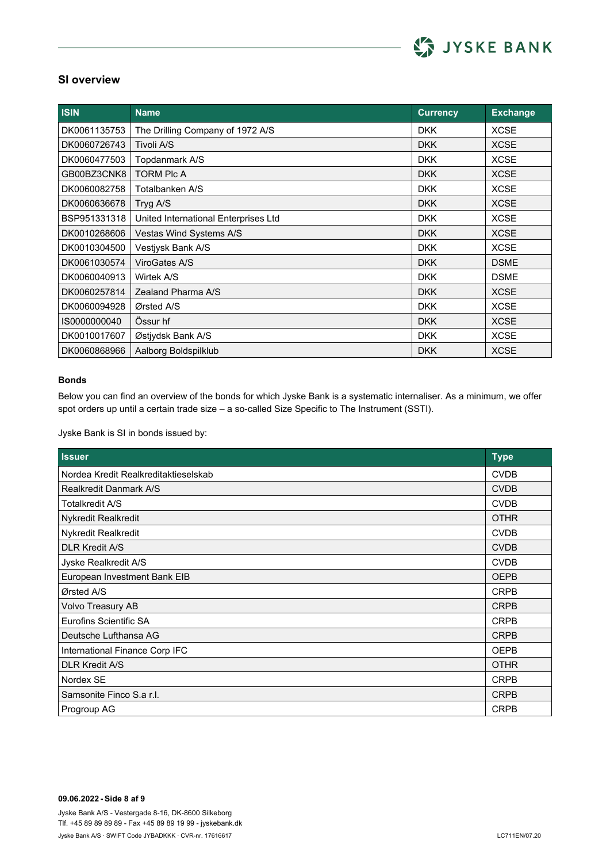

| <b>ISIN</b>  | <b>Name</b>                          | <b>Currency</b> | <b>Exchange</b> |
|--------------|--------------------------------------|-----------------|-----------------|
| DK0061135753 | The Drilling Company of 1972 A/S     | <b>DKK</b>      | <b>XCSE</b>     |
| DK0060726743 | Tivoli A/S                           | <b>DKK</b>      | <b>XCSE</b>     |
| DK0060477503 | Topdanmark A/S                       | <b>DKK</b>      | <b>XCSE</b>     |
| GB00BZ3CNK8  | <b>TORM PIC A</b>                    | <b>DKK</b>      | <b>XCSE</b>     |
| DK0060082758 | Totalbanken A/S                      | <b>DKK</b>      | <b>XCSE</b>     |
| DK0060636678 | Tryg A/S                             | <b>DKK</b>      | <b>XCSE</b>     |
| BSP951331318 | United International Enterprises Ltd | <b>DKK</b>      | <b>XCSE</b>     |
| DK0010268606 | Vestas Wind Systems A/S              | <b>DKK</b>      | <b>XCSE</b>     |
| DK0010304500 | Vestjysk Bank A/S                    | <b>DKK</b>      | <b>XCSE</b>     |
| DK0061030574 | ViroGates A/S                        | <b>DKK</b>      | <b>DSME</b>     |
| DK0060040913 | Wirtek A/S                           | <b>DKK</b>      | <b>DSME</b>     |
| DK0060257814 | Zealand Pharma A/S                   | <b>DKK</b>      | <b>XCSE</b>     |
| DK0060094928 | Ørsted A/S                           | <b>DKK</b>      | <b>XCSE</b>     |
| IS0000000040 | Össur hf                             | <b>DKK</b>      | <b>XCSE</b>     |
| DK0010017607 | Østjydsk Bank A/S                    | <b>DKK</b>      | <b>XCSE</b>     |
| DK0060868966 | Aalborg Boldspilklub                 | <b>DKK</b>      | <b>XCSE</b>     |

#### **Bonds**

Below you can find an overview of the bonds for which Jyske Bank is a systematic internaliser. As a minimum, we offer spot orders up until a certain trade size – a so-called Size Specific to The Instrument (SSTI).

Jyske Bank is SI in bonds issued by:

| <b>Issuer</b>                        | <b>Type</b> |
|--------------------------------------|-------------|
| Nordea Kredit Realkreditaktieselskab | <b>CVDB</b> |
| <b>Realkredit Danmark A/S</b>        | <b>CVDB</b> |
| Totalkredit A/S                      | <b>CVDB</b> |
| <b>Nykredit Realkredit</b>           | <b>OTHR</b> |
| Nykredit Realkredit                  | <b>CVDB</b> |
| <b>DLR Kredit A/S</b>                | <b>CVDB</b> |
| Jyske Realkredit A/S                 | <b>CVDB</b> |
| European Investment Bank EIB         | <b>OEPB</b> |
| Ørsted A/S                           | <b>CRPB</b> |
| Volvo Treasury AB                    | <b>CRPB</b> |
| Eurofins Scientific SA               | <b>CRPB</b> |
| Deutsche Lufthansa AG                | <b>CRPB</b> |
| International Finance Corp IFC       | <b>OEPB</b> |
| <b>DLR Kredit A/S</b>                | <b>OTHR</b> |
| Nordex SE                            | <b>CRPB</b> |
| Samsonite Finco S.a r.l.             | <b>CRPB</b> |
| Progroup AG                          | <b>CRPB</b> |